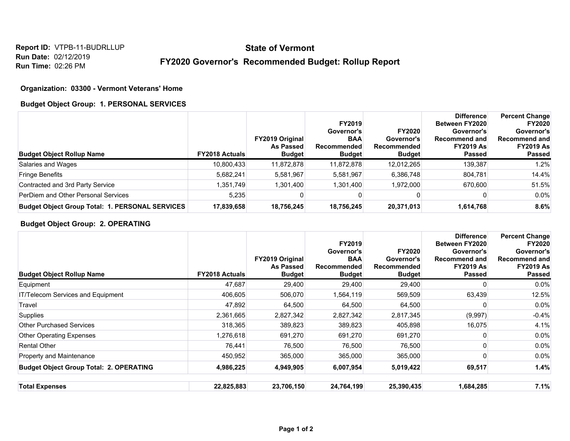**Report ID:** VTPB-11-BUDRLLUP **Run Date:** 02/12/2019 **Run Time:** 02:26 PM

# **State of Vermont**

## **FY2020 Governor's Recommended Budget: Rollup Report**

### **Organization: 03300 - Vermont Veterans' Home**

#### **Budget Object Group: 1. PERSONAL SERVICES**

| <b>Budget Object Rollup Name</b>                       | <b>FY2018 Actuals</b> | <b>FY2019 Original</b><br><b>As Passed</b><br><b>Budget</b> | <b>FY2019</b><br>Governor's<br><b>BAA</b><br><b>Recommended</b><br><b>Budget</b> | <b>FY2020</b><br>Governor's<br>Recommended<br><b>Budget</b> | <b>Difference</b><br>Between FY2020<br>Governor's<br>Recommend and<br><b>FY2019 As</b><br><b>Passed</b> | <b>Percent Change</b><br><b>FY2020</b><br>Governor's<br><b>Recommend and</b><br><b>FY2019 As</b><br><b>Passed</b> |
|--------------------------------------------------------|-----------------------|-------------------------------------------------------------|----------------------------------------------------------------------------------|-------------------------------------------------------------|---------------------------------------------------------------------------------------------------------|-------------------------------------------------------------------------------------------------------------------|
| Salaries and Wages                                     | 10,800,433            | 11,872,878                                                  | 11,872,878                                                                       | 12,012,265                                                  | 139,387                                                                                                 | 1.2%                                                                                                              |
| <b>Fringe Benefits</b>                                 | 5,682,241             | 5,581,967                                                   | 5,581,967                                                                        | 6,386,748                                                   | 804,781                                                                                                 | 14.4%                                                                                                             |
| Contracted and 3rd Party Service                       | .351.749              | 1,301,400                                                   | 1,301,400                                                                        | 1.972.000                                                   | 670.600                                                                                                 | 51.5%                                                                                                             |
| PerDiem and Other Personal Services                    | 5.235                 |                                                             |                                                                                  |                                                             |                                                                                                         | $0.0\%$                                                                                                           |
| <b>Budget Object Group Total: 1. PERSONAL SERVICES</b> | 17,839,658            | 18,756,245                                                  | 18,756,245                                                                       | 20,371,013                                                  | 1,614,768                                                                                               | 8.6%                                                                                                              |

## **Budget Object Group: 2. OPERATING**

| <b>Budget Object Rollup Name</b>               | <b>FY2018 Actuals</b> | <b>FY2019 Original</b><br><b>As Passed</b><br><b>Budget</b> | FY2019<br>Governor's<br><b>BAA</b><br>Recommended<br><b>Budget</b> | <b>FY2020</b><br>Governor's<br>Recommended<br><b>Budget</b> | <b>Difference</b><br><b>Between FY2020</b><br>Governor's<br>Recommend and<br><b>FY2019 As</b><br><b>Passed</b> | <b>Percent Change</b><br><b>FY2020</b><br>Governor's<br><b>Recommend and</b><br><b>FY2019 As</b><br><b>Passed</b> |
|------------------------------------------------|-----------------------|-------------------------------------------------------------|--------------------------------------------------------------------|-------------------------------------------------------------|----------------------------------------------------------------------------------------------------------------|-------------------------------------------------------------------------------------------------------------------|
| Equipment                                      | 47,687                | 29,400                                                      | 29,400                                                             | 29,400                                                      | ŋ                                                                                                              | $0.0\%$                                                                                                           |
| IT/Telecom Services and Equipment              | 406,605               | 506,070                                                     | 1,564,119                                                          | 569,509                                                     | 63,439                                                                                                         | 12.5%                                                                                                             |
| Travel                                         | 47,892                | 64,500                                                      | 64,500                                                             | 64,500                                                      |                                                                                                                | $0.0\%$                                                                                                           |
| Supplies                                       | 2,361,665             | 2,827,342                                                   | 2,827,342                                                          | 2,817,345                                                   | (9,997)                                                                                                        | $-0.4%$                                                                                                           |
| <b>Other Purchased Services</b>                | 318,365               | 389,823                                                     | 389,823                                                            | 405,898                                                     | 16,075                                                                                                         | 4.1%                                                                                                              |
| <b>Other Operating Expenses</b>                | 1,276,618             | 691,270                                                     | 691,270                                                            | 691,270                                                     | ŋ                                                                                                              | $0.0\%$                                                                                                           |
| <b>Rental Other</b>                            | 76,441                | 76,500                                                      | 76,500                                                             | 76,500                                                      |                                                                                                                | $0.0\%$                                                                                                           |
| Property and Maintenance                       | 450,952               | 365,000                                                     | 365,000                                                            | 365,000                                                     | ი                                                                                                              | 0.0%                                                                                                              |
| <b>Budget Object Group Total: 2. OPERATING</b> | 4,986,225             | 4,949,905                                                   | 6,007,954                                                          | 5,019,422                                                   | 69,517                                                                                                         | 1.4%                                                                                                              |
| <b>Total Expenses</b>                          | 22,825,883            | 23,706,150                                                  | 24,764,199                                                         | 25,390,435                                                  | 1,684,285                                                                                                      | 7.1%                                                                                                              |